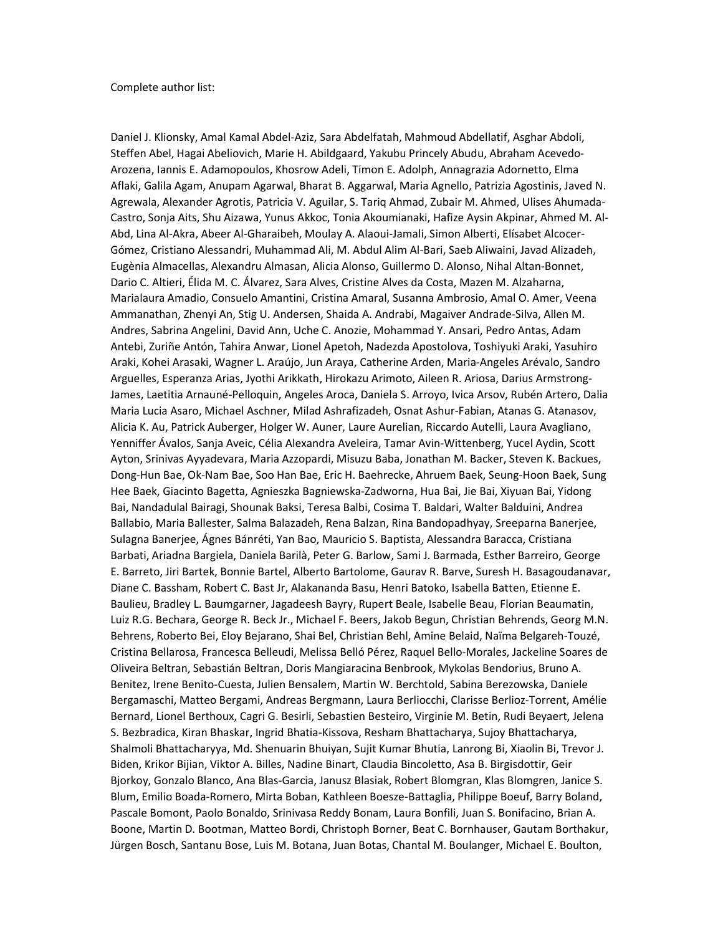Daniel J. Klionsky, Amal Kamal Abdel-Aziz, Sara Abdelfatah, Mahmoud Abdellatif, Asghar Abdoli, Steffen Abel, Hagai Abeliovich, Marie H. Abildgaard, Yakubu Princely Abudu, Abraham Acevedo-Arozena, Iannis E. Adamopoulos, Khosrow Adeli, Timon E. Adolph, Annagrazia Adornetto, Elma Aflaki, Galila Agam, Anupam Agarwal, Bharat B. Aggarwal, Maria Agnello, Patrizia Agostinis, Javed N. Agrewala, Alexander Agrotis, Patricia V. Aguilar, S. Tariq Ahmad, Zubair M. Ahmed, Ulises Ahumada-Castro, Sonja Aits, Shu Aizawa, Yunus Akkoc, Tonia Akoumianaki, Hafize Aysin Akpinar, Ahmed M. Al-Abd, Lina Al-Akra, Abeer Al-Gharaibeh, Moulay A. Alaoui-Jamali, Simon Alberti, Elísabet Alcocer-Gómez, Cristiano Alessandri, Muhammad Ali, M. Abdul Alim Al-Bari, Saeb Aliwaini, Javad Alizadeh, Eugènia Almacellas, Alexandru Almasan, Alicia Alonso, Guillermo D. Alonso, Nihal Altan-Bonnet, Dario C. Altieri, Élida M. C. Álvarez, Sara Alves, Cristine Alves da Costa, Mazen M. Alzaharna, Marialaura Amadio, Consuelo Amantini, Cristina Amaral, Susanna Ambrosio, Amal O. Amer, Veena Ammanathan, Zhenyi An, Stig U. Andersen, Shaida A. Andrabi, Magaiver Andrade-Silva, Allen M. Andres, Sabrina Angelini, David Ann, Uche C. Anozie, Mohammad Y. Ansari, Pedro Antas, Adam Antebi, Zuriñe Antón, Tahira Anwar, Lionel Apetoh, Nadezda Apostolova, Toshiyuki Araki, Yasuhiro Araki, Kohei Arasaki, Wagner L. Araújo, Jun Araya, Catherine Arden, Maria-Angeles Arévalo, Sandro Arguelles, Esperanza Arias, Jyothi Arikkath, Hirokazu Arimoto, Aileen R. Ariosa, Darius Armstrong-James, Laetitia Arnauné-Pelloquin, Angeles Aroca, Daniela S. Arroyo, Ivica Arsov, Rubén Artero, Dalia Maria Lucia Asaro, Michael Aschner, Milad Ashrafizadeh, Osnat Ashur-Fabian, Atanas G. Atanasov, Alicia K. Au, Patrick Auberger, Holger W. Auner, Laure Aurelian, Riccardo Autelli, Laura Avagliano, Yenniffer Ávalos, Sanja Aveic, Célia Alexandra Aveleira, Tamar Avin-Wittenberg, Yucel Aydin, Scott Ayton, Srinivas Ayyadevara, Maria Azzopardi, Misuzu Baba, Jonathan M. Backer, Steven K. Backues, Dong-Hun Bae, Ok-Nam Bae, Soo Han Bae, Eric H. Baehrecke, Ahruem Baek, Seung-Hoon Baek, Sung Hee Baek, Giacinto Bagetta, Agnieszka Bagniewska-Zadworna, Hua Bai, Jie Bai, Xiyuan Bai, Yidong Bai, Nandadulal Bairagi, Shounak Baksi, Teresa Balbi, Cosima T. Baldari, Walter Balduini, Andrea Ballabio, Maria Ballester, Salma Balazadeh, Rena Balzan, Rina Bandopadhyay, Sreeparna Banerjee, Sulagna Banerjee, Ágnes Bánréti, Yan Bao, Mauricio S. Baptista, Alessandra Baracca, Cristiana Barbati, Ariadna Bargiela, Daniela Barilà, Peter G. Barlow, Sami J. Barmada, Esther Barreiro, George E. Barreto, Jiri Bartek, Bonnie Bartel, Alberto Bartolome, Gaurav R. Barve, Suresh H. Basagoudanavar, Diane C. Bassham, Robert C. Bast Jr, Alakananda Basu, Henri Batoko, Isabella Batten, Etienne E. Baulieu, Bradley L. Baumgarner, Jagadeesh Bayry, Rupert Beale, Isabelle Beau, Florian Beaumatin, Luiz R.G. Bechara, George R. Beck Jr., Michael F. Beers, Jakob Begun, Christian Behrends, Georg M.N. Behrens, Roberto Bei, Eloy Bejarano, Shai Bel, Christian Behl, Amine Belaid, Naïma Belgareh-Touzé, Cristina Bellarosa, Francesca Belleudi, Melissa Belló Pérez, Raquel Bello-Morales, Jackeline Soares de Oliveira Beltran, Sebastián Beltran, Doris Mangiaracina Benbrook, Mykolas Bendorius, Bruno A. Benitez, Irene Benito-Cuesta, Julien Bensalem, Martin W. Berchtold, Sabina Berezowska, Daniele Bergamaschi, Matteo Bergami, Andreas Bergmann, Laura Berliocchi, Clarisse Berlioz-Torrent, Amélie Bernard, Lionel Berthoux, Cagri G. Besirli, Sebastien Besteiro, Virginie M. Betin, Rudi Beyaert, Jelena S. Bezbradica, Kiran Bhaskar, Ingrid Bhatia-Kissova, Resham Bhattacharya, Sujoy Bhattacharya, Shalmoli Bhattacharyya, Md. Shenuarin Bhuiyan, Sujit Kumar Bhutia, Lanrong Bi, Xiaolin Bi, Trevor J. Biden, Krikor Bijian, Viktor A. Billes, Nadine Binart, Claudia Bincoletto, Asa B. Birgisdottir, Geir Bjorkoy, Gonzalo Blanco, Ana Blas-Garcia, Janusz Blasiak, Robert Blomgran, Klas Blomgren, Janice S. Blum, Emilio Boada-Romero, Mirta Boban, Kathleen Boesze-Battaglia, Philippe Boeuf, Barry Boland, Pascale Bomont, Paolo Bonaldo, Srinivasa Reddy Bonam, Laura Bonfili, Juan S. Bonifacino, Brian A. Boone, Martin D. Bootman, Matteo Bordi, Christoph Borner, Beat C. Bornhauser, Gautam Borthakur, Jürgen Bosch, Santanu Bose, Luis M. Botana, Juan Botas, Chantal M. Boulanger, Michael E. Boulton,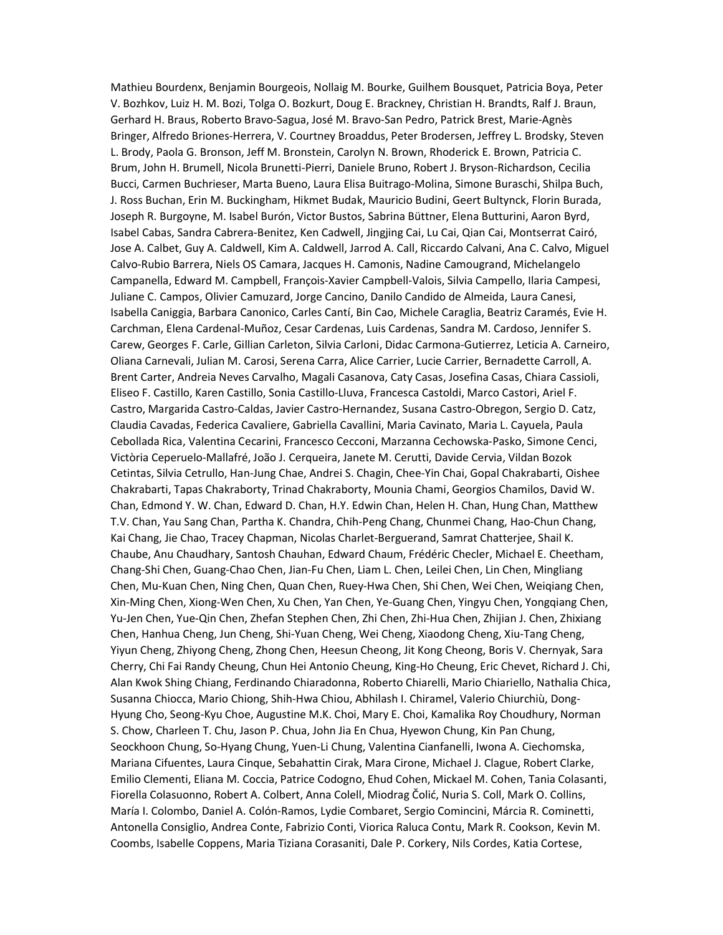Mathieu Bourdenx, Benjamin Bourgeois, Nollaig M. Bourke, Guilhem Bousquet, Patricia Boya, Peter V. Bozhkov, Luiz H. M. Bozi, Tolga O. Bozkurt, Doug E. Brackney, Christian H. Brandts, Ralf J. Braun, Gerhard H. Braus, Roberto Bravo-Sagua, José M. Bravo-San Pedro, Patrick Brest, Marie-Agnès Bringer, Alfredo Briones-Herrera, V. Courtney Broaddus, Peter Brodersen, Jeffrey L. Brodsky, Steven L. Brody, Paola G. Bronson, Jeff M. Bronstein, Carolyn N. Brown, Rhoderick E. Brown, Patricia C. Brum, John H. Brumell, Nicola Brunetti-Pierri, Daniele Bruno, Robert J. Bryson-Richardson, Cecilia Bucci, Carmen Buchrieser, Marta Bueno, Laura Elisa Buitrago-Molina, Simone Buraschi, Shilpa Buch, J. Ross Buchan, Erin M. Buckingham, Hikmet Budak, Mauricio Budini, Geert Bultynck, Florin Burada, Joseph R. Burgoyne, M. Isabel Burón, Victor Bustos, Sabrina Büttner, Elena Butturini, Aaron Byrd, Isabel Cabas, Sandra Cabrera-Benitez, Ken Cadwell, Jingjing Cai, Lu Cai, Qian Cai, Montserrat Cairó, Jose A. Calbet, Guy A. Caldwell, Kim A. Caldwell, Jarrod A. Call, Riccardo Calvani, Ana C. Calvo, Miguel Calvo-Rubio Barrera, Niels OS Camara, Jacques H. Camonis, Nadine Camougrand, Michelangelo Campanella, Edward M. Campbell, François-Xavier Campbell-Valois, Silvia Campello, Ilaria Campesi, Juliane C. Campos, Olivier Camuzard, Jorge Cancino, Danilo Candido de Almeida, Laura Canesi, Isabella Caniggia, Barbara Canonico, Carles Cantí, Bin Cao, Michele Caraglia, Beatriz Caramés, Evie H. Carchman, Elena Cardenal-Muñoz, Cesar Cardenas, Luis Cardenas, Sandra M. Cardoso, Jennifer S. Carew, Georges F. Carle, Gillian Carleton, Silvia Carloni, Didac Carmona-Gutierrez, Leticia A. Carneiro, Oliana Carnevali, Julian M. Carosi, Serena Carra, Alice Carrier, Lucie Carrier, Bernadette Carroll, A. Brent Carter, Andreia Neves Carvalho, Magali Casanova, Caty Casas, Josefina Casas, Chiara Cassioli, Eliseo F. Castillo, Karen Castillo, Sonia Castillo-Lluva, Francesca Castoldi, Marco Castori, Ariel F. Castro, Margarida Castro-Caldas, Javier Castro-Hernandez, Susana Castro-Obregon, Sergio D. Catz, Claudia Cavadas, Federica Cavaliere, Gabriella Cavallini, Maria Cavinato, Maria L. Cayuela, Paula Cebollada Rica, Valentina Cecarini, Francesco Cecconi, Marzanna Cechowska-Pasko, Simone Cenci, Victòria Ceperuelo-Mallafré, João J. Cerqueira, Janete M. Cerutti, Davide Cervia, Vildan Bozok Cetintas, Silvia Cetrullo, Han-Jung Chae, Andrei S. Chagin, Chee-Yin Chai, Gopal Chakrabarti, Oishee Chakrabarti, Tapas Chakraborty, Trinad Chakraborty, Mounia Chami, Georgios Chamilos, David W. Chan, Edmond Y. W. Chan, Edward D. Chan, H.Y. Edwin Chan, Helen H. Chan, Hung Chan, Matthew T.V. Chan, Yau Sang Chan, Partha K. Chandra, Chih-Peng Chang, Chunmei Chang, Hao-Chun Chang, Kai Chang, Jie Chao, Tracey Chapman, Nicolas Charlet-Berguerand, Samrat Chatterjee, Shail K. Chaube, Anu Chaudhary, Santosh Chauhan, Edward Chaum, Frédéric Checler, Michael E. Cheetham, Chang-Shi Chen, Guang-Chao Chen, Jian-Fu Chen, Liam L. Chen, Leilei Chen, Lin Chen, Mingliang Chen, Mu-Kuan Chen, Ning Chen, Quan Chen, Ruey-Hwa Chen, Shi Chen, Wei Chen, Weiqiang Chen, Xin-Ming Chen, Xiong-Wen Chen, Xu Chen, Yan Chen, Ye-Guang Chen, Yingyu Chen, Yongqiang Chen, Yu-Jen Chen, Yue-Qin Chen, Zhefan Stephen Chen, Zhi Chen, Zhi-Hua Chen, Zhijian J. Chen, Zhixiang Chen, Hanhua Cheng, Jun Cheng, Shi-Yuan Cheng, Wei Cheng, Xiaodong Cheng, Xiu-Tang Cheng, Yiyun Cheng, Zhiyong Cheng, Zhong Chen, Heesun Cheong, Jit Kong Cheong, Boris V. Chernyak, Sara Cherry, Chi Fai Randy Cheung, Chun Hei Antonio Cheung, King-Ho Cheung, Eric Chevet, Richard J. Chi, Alan Kwok Shing Chiang, Ferdinando Chiaradonna, Roberto Chiarelli, Mario Chiariello, Nathalia Chica, Susanna Chiocca, Mario Chiong, Shih-Hwa Chiou, Abhilash I. Chiramel, Valerio Chiurchiù, Dong-Hyung Cho, Seong-Kyu Choe, Augustine M.K. Choi, Mary E. Choi, Kamalika Roy Choudhury, Norman S. Chow, Charleen T. Chu, Jason P. Chua, John Jia En Chua, Hyewon Chung, Kin Pan Chung, Seockhoon Chung, So-Hyang Chung, Yuen-Li Chung, Valentina Cianfanelli, Iwona A. Ciechomska, Mariana Cifuentes, Laura Cinque, Sebahattin Cirak, Mara Cirone, Michael J. Clague, Robert Clarke, Emilio Clementi, Eliana M. Coccia, Patrice Codogno, Ehud Cohen, Mickael M. Cohen, Tania Colasanti, Fiorella Colasuonno, Robert A. Colbert, Anna Colell, Miodrag Čolić, Nuria S. Coll, Mark O. Collins, María I. Colombo, Daniel A. Colón-Ramos, Lydie Combaret, Sergio Comincini, Márcia R. Cominetti, Antonella Consiglio, Andrea Conte, Fabrizio Conti, Viorica Raluca Contu, Mark R. Cookson, Kevin M. Coombs, Isabelle Coppens, Maria Tiziana Corasaniti, Dale P. Corkery, Nils Cordes, Katia Cortese,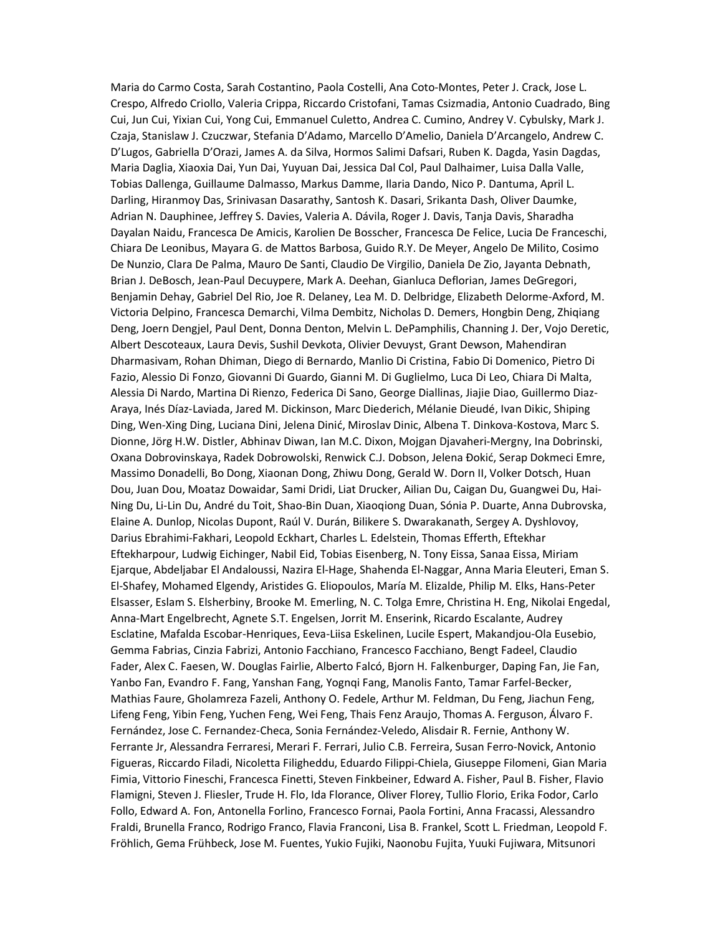Maria do Carmo Costa, Sarah Costantino, Paola Costelli, Ana Coto-Montes, Peter J. Crack, Jose L. Crespo, Alfredo Criollo, Valeria Crippa, Riccardo Cristofani, Tamas Csizmadia, Antonio Cuadrado, Bing Cui, Jun Cui, Yixian Cui, Yong Cui, Emmanuel Culetto, Andrea C. Cumino, Andrey V. Cybulsky, Mark J. Czaja, Stanislaw J. Czuczwar, Stefania D'Adamo, Marcello D'Amelio, Daniela D'Arcangelo, Andrew C. D'Lugos, Gabriella D'Orazi, James A. da Silva, Hormos Salimi Dafsari, Ruben K. Dagda, Yasin Dagdas, Maria Daglia, Xiaoxia Dai, Yun Dai, Yuyuan Dai, Jessica Dal Col, Paul Dalhaimer, Luisa Dalla Valle, Tobias Dallenga, Guillaume Dalmasso, Markus Damme, Ilaria Dando, Nico P. Dantuma, April L. Darling, Hiranmoy Das, Srinivasan Dasarathy, Santosh K. Dasari, Srikanta Dash, Oliver Daumke, Adrian N. Dauphinee, Jeffrey S. Davies, Valeria A. Dávila, Roger J. Davis, Tanja Davis, Sharadha Dayalan Naidu, Francesca De Amicis, Karolien De Bosscher, Francesca De Felice, Lucia De Franceschi, Chiara De Leonibus, Mayara G. de Mattos Barbosa, Guido R.Y. De Meyer, Angelo De Milito, Cosimo De Nunzio, Clara De Palma, Mauro De Santi, Claudio De Virgilio, Daniela De Zio, Jayanta Debnath, Brian J. DeBosch, Jean-Paul Decuypere, Mark A. Deehan, Gianluca Deflorian, James DeGregori, Benjamin Dehay, Gabriel Del Rio, Joe R. Delaney, Lea M. D. Delbridge, Elizabeth Delorme-Axford, M. Victoria Delpino, Francesca Demarchi, Vilma Dembitz, Nicholas D. Demers, Hongbin Deng, Zhiqiang Deng, Joern Dengjel, Paul Dent, Donna Denton, Melvin L. DePamphilis, Channing J. Der, Vojo Deretic, Albert Descoteaux, Laura Devis, Sushil Devkota, Olivier Devuyst, Grant Dewson, Mahendiran Dharmasivam, Rohan Dhiman, Diego di Bernardo, Manlio Di Cristina, Fabio Di Domenico, Pietro Di Fazio, Alessio Di Fonzo, Giovanni Di Guardo, Gianni M. Di Guglielmo, Luca Di Leo, Chiara Di Malta, Alessia Di Nardo, Martina Di Rienzo, Federica Di Sano, George Diallinas, Jiajie Diao, Guillermo Diaz-Araya, Inés Díaz-Laviada, Jared M. Dickinson, Marc Diederich, Mélanie Dieudé, Ivan Dikic, Shiping Ding, Wen-Xing Ding, Luciana Dini, Jelena Dinić, Miroslav Dinic, Albena T. Dinkova-Kostova, Marc S. Dionne, Jörg H.W. Distler, Abhinav Diwan, Ian M.C. Dixon, Mojgan Djavaheri-Mergny, Ina Dobrinski, Oxana Dobrovinskaya, Radek Dobrowolski, Renwick C.J. Dobson, Jelena Đokić, Serap Dokmeci Emre, Massimo Donadelli, Bo Dong, Xiaonan Dong, Zhiwu Dong, Gerald W. Dorn II, Volker Dotsch, Huan Dou, Juan Dou, Moataz Dowaidar, Sami Dridi, Liat Drucker, Ailian Du, Caigan Du, Guangwei Du, Hai-Ning Du, Li-Lin Du, André du Toit, Shao-Bin Duan, Xiaoqiong Duan, Sónia P. Duarte, Anna Dubrovska, Elaine A. Dunlop, Nicolas Dupont, Raúl V. Durán, Bilikere S. Dwarakanath, Sergey A. Dyshlovoy, Darius Ebrahimi-Fakhari, Leopold Eckhart, Charles L. Edelstein, Thomas Efferth, Eftekhar Eftekharpour, Ludwig Eichinger, Nabil Eid, Tobias Eisenberg, N. Tony Eissa, Sanaa Eissa, Miriam Ejarque, Abdeljabar El Andaloussi, Nazira El-Hage, Shahenda El-Naggar, Anna Maria Eleuteri, Eman S. El-Shafey, Mohamed Elgendy, Aristides G. Eliopoulos, María M. Elizalde, Philip M. Elks, Hans-Peter Elsasser, Eslam S. Elsherbiny, Brooke M. Emerling, N. C. Tolga Emre, Christina H. Eng, Nikolai Engedal, Anna-Mart Engelbrecht, Agnete S.T. Engelsen, Jorrit M. Enserink, Ricardo Escalante, Audrey Esclatine, Mafalda Escobar-Henriques, Eeva-Liisa Eskelinen, Lucile Espert, Makandjou-Ola Eusebio, Gemma Fabrias, Cinzia Fabrizi, Antonio Facchiano, Francesco Facchiano, Bengt Fadeel, Claudio Fader, Alex C. Faesen, W. Douglas Fairlie, Alberto Falcó, Bjorn H. Falkenburger, Daping Fan, Jie Fan, Yanbo Fan, Evandro F. Fang, Yanshan Fang, Yognqi Fang, Manolis Fanto, Tamar Farfel-Becker, Mathias Faure, Gholamreza Fazeli, Anthony O. Fedele, Arthur M. Feldman, Du Feng, Jiachun Feng, Lifeng Feng, Yibin Feng, Yuchen Feng, Wei Feng, Thais Fenz Araujo, Thomas A. Ferguson, Álvaro F. Fernández, Jose C. Fernandez-Checa, Sonia Fernández-Veledo, Alisdair R. Fernie, Anthony W. Ferrante Jr, Alessandra Ferraresi, Merari F. Ferrari, Julio C.B. Ferreira, Susan Ferro-Novick, Antonio Figueras, Riccardo Filadi, Nicoletta Filigheddu, Eduardo Filippi-Chiela, Giuseppe Filomeni, Gian Maria Fimia, Vittorio Fineschi, Francesca Finetti, Steven Finkbeiner, Edward A. Fisher, Paul B. Fisher, Flavio Flamigni, Steven J. Fliesler, Trude H. Flo, Ida Florance, Oliver Florey, Tullio Florio, Erika Fodor, Carlo Follo, Edward A. Fon, Antonella Forlino, Francesco Fornai, Paola Fortini, Anna Fracassi, Alessandro Fraldi, Brunella Franco, Rodrigo Franco, Flavia Franconi, Lisa B. Frankel, Scott L. Friedman, Leopold F. Fröhlich, Gema Frühbeck, Jose M. Fuentes, Yukio Fujiki, Naonobu Fujita, Yuuki Fujiwara, Mitsunori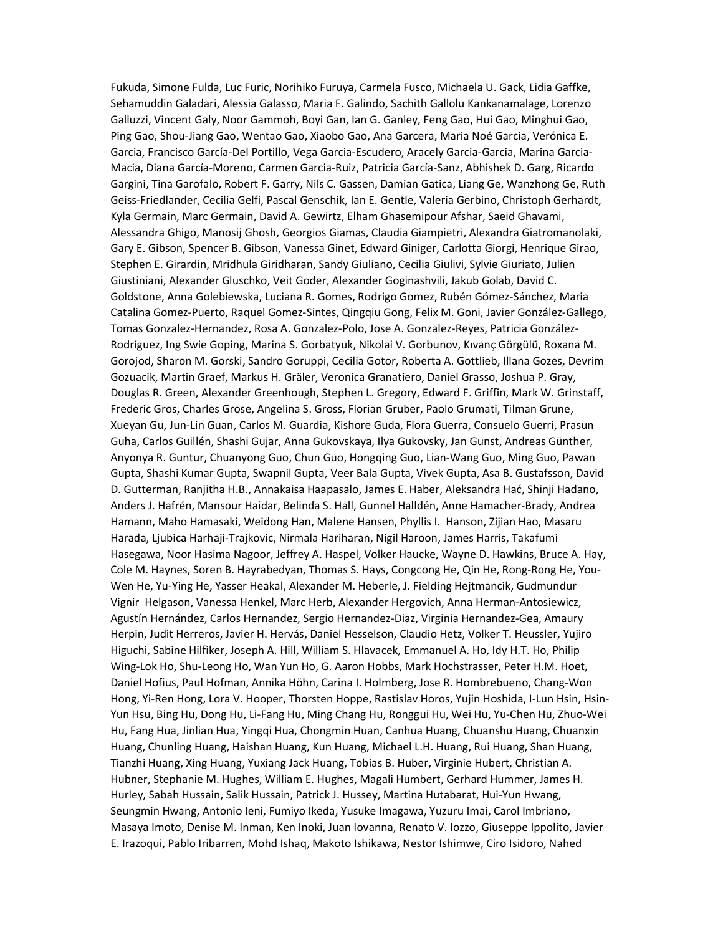Fukuda, Simone Fulda, Luc Furic, Norihiko Furuya, Carmela Fusco, Michaela U. Gack, Lidia Gaffke, Sehamuddin Galadari, Alessia Galasso, Maria F. Galindo, Sachith Gallolu Kankanamalage, Lorenzo Galluzzi, Vincent Galy, Noor Gammoh, Boyi Gan, Ian G. Ganley, Feng Gao, Hui Gao, Minghui Gao, Ping Gao, Shou-Jiang Gao, Wentao Gao, Xiaobo Gao, Ana Garcera, Maria Noé Garcia, Verónica E. Garcia, Francisco García-Del Portillo, Vega Garcia-Escudero, Aracely Garcia-Garcia, Marina Garcia-Macia, Diana García-Moreno, Carmen Garcia-Ruiz, Patricia García-Sanz, Abhishek D. Garg, Ricardo Gargini, Tina Garofalo, Robert F. Garry, Nils C. Gassen, Damian Gatica, Liang Ge, Wanzhong Ge, Ruth Geiss-Friedlander, Cecilia Gelfi, Pascal Genschik, Ian E. Gentle, Valeria Gerbino, Christoph Gerhardt, Kyla Germain, Marc Germain, David A. Gewirtz, Elham Ghasemipour Afshar, Saeid Ghavami, Alessandra Ghigo, Manosij Ghosh, Georgios Giamas, Claudia Giampietri, Alexandra Giatromanolaki, Gary E. Gibson, Spencer B. Gibson, Vanessa Ginet, Edward Giniger, Carlotta Giorgi, Henrique Girao, Stephen E. Girardin, Mridhula Giridharan, Sandy Giuliano, Cecilia Giulivi, Sylvie Giuriato, Julien Giustiniani, Alexander Gluschko, Veit Goder, Alexander Goginashvili, Jakub Golab, David C. Goldstone, Anna Golebiewska, Luciana R. Gomes, Rodrigo Gomez, Rubén Gómez-Sánchez, Maria Catalina Gomez-Puerto, Raquel Gomez-Sintes, Qingqiu Gong, Felix M. Goni, Javier González-Gallego, Tomas Gonzalez-Hernandez, Rosa A. Gonzalez-Polo, Jose A. Gonzalez-Reyes, Patricia González-Rodríguez, Ing Swie Goping, Marina S. Gorbatyuk, Nikolai V. Gorbunov, Kıvanç Görgülü, Roxana M. Gorojod, Sharon M. Gorski, Sandro Goruppi, Cecilia Gotor, Roberta A. Gottlieb, Illana Gozes, Devrim Gozuacik, Martin Graef, Markus H. Gräler, Veronica Granatiero, Daniel Grasso, Joshua P. Gray, Douglas R. Green, Alexander Greenhough, Stephen L. Gregory, Edward F. Griffin, Mark W. Grinstaff, Frederic Gros, Charles Grose, Angelina S. Gross, Florian Gruber, Paolo Grumati, Tilman Grune, Xueyan Gu, Jun-Lin Guan, Carlos M. Guardia, Kishore Guda, Flora Guerra, Consuelo Guerri, Prasun Guha, Carlos Guillén, Shashi Gujar, Anna Gukovskaya, Ilya Gukovsky, Jan Gunst, Andreas Günther, Anyonya R. Guntur, Chuanyong Guo, Chun Guo, Hongqing Guo, Lian-Wang Guo, Ming Guo, Pawan Gupta, Shashi Kumar Gupta, Swapnil Gupta, Veer Bala Gupta, Vivek Gupta, Asa B. Gustafsson, David D. Gutterman, Ranjitha H.B., Annakaisa Haapasalo, James E. Haber, Aleksandra Hać, Shinji Hadano, Anders J. Hafrén, Mansour Haidar, Belinda S. Hall, Gunnel Halldén, Anne Hamacher-Brady, Andrea Hamann, Maho Hamasaki, Weidong Han, Malene Hansen, Phyllis I. Hanson, Zijian Hao, Masaru Harada, Ljubica Harhaji-Trajkovic, Nirmala Hariharan, Nigil Haroon, James Harris, Takafumi Hasegawa, Noor Hasima Nagoor, Jeffrey A. Haspel, Volker Haucke, Wayne D. Hawkins, Bruce A. Hay, Cole M. Haynes, Soren B. Hayrabedyan, Thomas S. Hays, Congcong He, Qin He, Rong-Rong He, You-Wen He, Yu-Ying He, Yasser Heakal, Alexander M. Heberle, J. Fielding Hejtmancik, Gudmundur Vignir Helgason, Vanessa Henkel, Marc Herb, Alexander Hergovich, Anna Herman-Antosiewicz, Agustín Hernández, Carlos Hernandez, Sergio Hernandez-Diaz, Virginia Hernandez-Gea, Amaury Herpin, Judit Herreros, Javier H. Hervás, Daniel Hesselson, Claudio Hetz, Volker T. Heussler, Yujiro Higuchi, Sabine Hilfiker, Joseph A. Hill, William S. Hlavacek, Emmanuel A. Ho, Idy H.T. Ho, Philip Wing-Lok Ho, Shu-Leong Ho, Wan Yun Ho, G. Aaron Hobbs, Mark Hochstrasser, Peter H.M. Hoet, Daniel Hofius, Paul Hofman, Annika Höhn, Carina I. Holmberg, Jose R. Hombrebueno, Chang-Won Hong, Yi-Ren Hong, Lora V. Hooper, Thorsten Hoppe, Rastislav Horos, Yujin Hoshida, I-Lun Hsin, Hsin-Yun Hsu, Bing Hu, Dong Hu, Li-Fang Hu, Ming Chang Hu, Ronggui Hu, Wei Hu, Yu-Chen Hu, Zhuo-Wei Hu, Fang Hua, Jinlian Hua, Yingqi Hua, Chongmin Huan, Canhua Huang, Chuanshu Huang, Chuanxin Huang, Chunling Huang, Haishan Huang, Kun Huang, Michael L.H. Huang, Rui Huang, Shan Huang, Tianzhi Huang, Xing Huang, Yuxiang Jack Huang, Tobias B. Huber, Virginie Hubert, Christian A. Hubner, Stephanie M. Hughes, William E. Hughes, Magali Humbert, Gerhard Hummer, James H. Hurley, Sabah Hussain, Salik Hussain, Patrick J. Hussey, Martina Hutabarat, Hui-Yun Hwang, Seungmin Hwang, Antonio Ieni, Fumiyo Ikeda, Yusuke Imagawa, Yuzuru Imai, Carol Imbriano, Masaya Imoto, Denise M. Inman, Ken Inoki, Juan Iovanna, Renato V. Iozzo, Giuseppe Ippolito, Javier E. Irazoqui, Pablo Iribarren, Mohd Ishaq, Makoto Ishikawa, Nestor Ishimwe, Ciro Isidoro, Nahed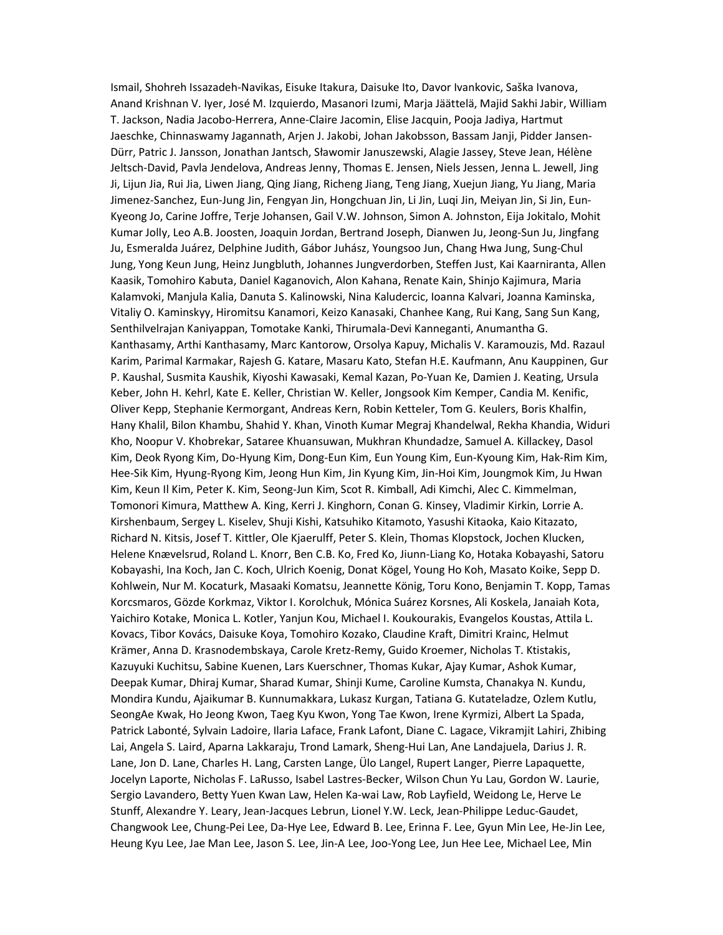Ismail, Shohreh Issazadeh-Navikas, Eisuke Itakura, Daisuke Ito, Davor Ivankovic, Saška Ivanova, Anand Krishnan V. Iyer, José M. Izquierdo, Masanori Izumi, Marja Jäättelä, Majid Sakhi Jabir, William T. Jackson, Nadia Jacobo-Herrera, Anne-Claire Jacomin, Elise Jacquin, Pooja Jadiya, Hartmut Jaeschke, Chinnaswamy Jagannath, Arjen J. Jakobi, Johan Jakobsson, Bassam Janji, Pidder Jansen-Dürr, Patric J. Jansson, Jonathan Jantsch, Sławomir Januszewski, Alagie Jassey, Steve Jean, Hélène Jeltsch-David, Pavla Jendelova, Andreas Jenny, Thomas E. Jensen, Niels Jessen, Jenna L. Jewell, Jing Ji, Lijun Jia, Rui Jia, Liwen Jiang, Qing Jiang, Richeng Jiang, Teng Jiang, Xuejun Jiang, Yu Jiang, Maria Jimenez-Sanchez, Eun-Jung Jin, Fengyan Jin, Hongchuan Jin, Li Jin, Luqi Jin, Meiyan Jin, Si Jin, Eun-Kyeong Jo, Carine Joffre, Terje Johansen, Gail V.W. Johnson, Simon A. Johnston, Eija Jokitalo, Mohit Kumar Jolly, Leo A.B. Joosten, Joaquin Jordan, Bertrand Joseph, Dianwen Ju, Jeong-Sun Ju, Jingfang Ju, Esmeralda Juárez, Delphine Judith, Gábor Juhász, Youngsoo Jun, Chang Hwa Jung, Sung-Chul Jung, Yong Keun Jung, Heinz Jungbluth, Johannes Jungverdorben, Steffen Just, Kai Kaarniranta, Allen Kaasik, Tomohiro Kabuta, Daniel Kaganovich, Alon Kahana, Renate Kain, Shinjo Kajimura, Maria Kalamvoki, Manjula Kalia, Danuta S. Kalinowski, Nina Kaludercic, Ioanna Kalvari, Joanna Kaminska, Vitaliy O. Kaminskyy, Hiromitsu Kanamori, Keizo Kanasaki, Chanhee Kang, Rui Kang, Sang Sun Kang, Senthilvelrajan Kaniyappan, Tomotake Kanki, Thirumala-Devi Kanneganti, Anumantha G. Kanthasamy, Arthi Kanthasamy, Marc Kantorow, Orsolya Kapuy, Michalis V. Karamouzis, Md. Razaul Karim, Parimal Karmakar, Rajesh G. Katare, Masaru Kato, Stefan H.E. Kaufmann, Anu Kauppinen, Gur P. Kaushal, Susmita Kaushik, Kiyoshi Kawasaki, Kemal Kazan, Po-Yuan Ke, Damien J. Keating, Ursula Keber, John H. Kehrl, Kate E. Keller, Christian W. Keller, Jongsook Kim Kemper, Candia M. Kenific, Oliver Kepp, Stephanie Kermorgant, Andreas Kern, Robin Ketteler, Tom G. Keulers, Boris Khalfin, Hany Khalil, Bilon Khambu, Shahid Y. Khan, Vinoth Kumar Megraj Khandelwal, Rekha Khandia, Widuri Kho, Noopur V. Khobrekar, Sataree Khuansuwan, Mukhran Khundadze, Samuel A. Killackey, Dasol Kim, Deok Ryong Kim, Do-Hyung Kim, Dong-Eun Kim, Eun Young Kim, Eun-Kyoung Kim, Hak-Rim Kim, Hee-Sik Kim, Hyung-Ryong Kim, Jeong Hun Kim, Jin Kyung Kim, Jin-Hoi Kim, Joungmok Kim, Ju Hwan Kim, Keun Il Kim, Peter K. Kim, Seong-Jun Kim, Scot R. Kimball, Adi Kimchi, Alec C. Kimmelman, Tomonori Kimura, Matthew A. King, Kerri J. Kinghorn, Conan G. Kinsey, Vladimir Kirkin, Lorrie A. Kirshenbaum, Sergey L. Kiselev, Shuji Kishi, Katsuhiko Kitamoto, Yasushi Kitaoka, Kaio Kitazato, Richard N. Kitsis, Josef T. Kittler, Ole Kjaerulff, Peter S. Klein, Thomas Klopstock, Jochen Klucken, Helene Knævelsrud, Roland L. Knorr, Ben C.B. Ko, Fred Ko, Jiunn-Liang Ko, Hotaka Kobayashi, Satoru Kobayashi, Ina Koch, Jan C. Koch, Ulrich Koenig, Donat Kögel, Young Ho Koh, Masato Koike, Sepp D. Kohlwein, Nur M. Kocaturk, Masaaki Komatsu, Jeannette König, Toru Kono, Benjamin T. Kopp, Tamas Korcsmaros, Gözde Korkmaz, Viktor I. Korolchuk, Mónica Suárez Korsnes, Ali Koskela, Janaiah Kota, Yaichiro Kotake, Monica L. Kotler, Yanjun Kou, Michael I. Koukourakis, Evangelos Koustas, Attila L. Kovacs, Tibor Kovács, Daisuke Koya, Tomohiro Kozako, Claudine Kraft, Dimitri Krainc, Helmut Krämer, Anna D. Krasnodembskaya, Carole Kretz-Remy, Guido Kroemer, Nicholas T. Ktistakis, Kazuyuki Kuchitsu, Sabine Kuenen, Lars Kuerschner, Thomas Kukar, Ajay Kumar, Ashok Kumar, Deepak Kumar, Dhiraj Kumar, Sharad Kumar, Shinji Kume, Caroline Kumsta, Chanakya N. Kundu, Mondira Kundu, Ajaikumar B. Kunnumakkara, Lukasz Kurgan, Tatiana G. Kutateladze, Ozlem Kutlu, SeongAe Kwak, Ho Jeong Kwon, Taeg Kyu Kwon, Yong Tae Kwon, Irene Kyrmizi, Albert La Spada, Patrick Labonté, Sylvain Ladoire, Ilaria Laface, Frank Lafont, Diane C. Lagace, Vikramjit Lahiri, Zhibing Lai, Angela S. Laird, Aparna Lakkaraju, Trond Lamark, Sheng-Hui Lan, Ane Landajuela, Darius J. R. Lane, Jon D. Lane, Charles H. Lang, Carsten Lange, Ülo Langel, Rupert Langer, Pierre Lapaquette, Jocelyn Laporte, Nicholas F. LaRusso, Isabel Lastres-Becker, Wilson Chun Yu Lau, Gordon W. Laurie, Sergio Lavandero, Betty Yuen Kwan Law, Helen Ka-wai Law, Rob Layfield, Weidong Le, Herve Le Stunff, Alexandre Y. Leary, Jean-Jacques Lebrun, Lionel Y.W. Leck, Jean-Philippe Leduc-Gaudet, Changwook Lee, Chung-Pei Lee, Da-Hye Lee, Edward B. Lee, Erinna F. Lee, Gyun Min Lee, He-Jin Lee, Heung Kyu Lee, Jae Man Lee, Jason S. Lee, Jin-A Lee, Joo-Yong Lee, Jun Hee Lee, Michael Lee, Min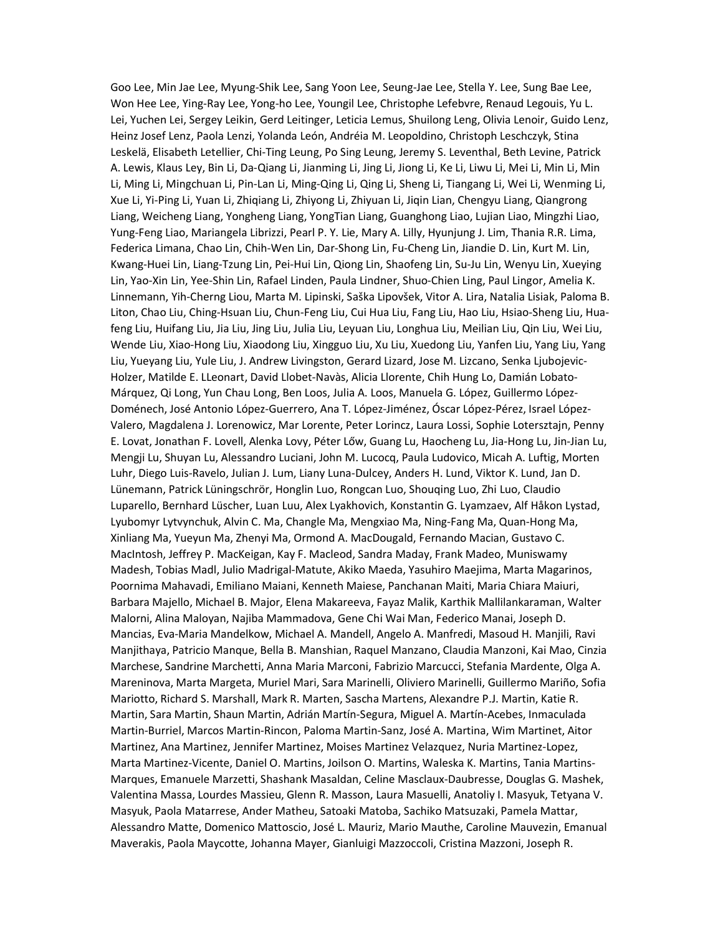Goo Lee, Min Jae Lee, Myung-Shik Lee, Sang Yoon Lee, Seung-Jae Lee, Stella Y. Lee, Sung Bae Lee, Won Hee Lee, Ying-Ray Lee, Yong-ho Lee, Youngil Lee, Christophe Lefebvre, Renaud Legouis, Yu L. Lei, Yuchen Lei, Sergey Leikin, Gerd Leitinger, Leticia Lemus, Shuilong Leng, Olivia Lenoir, Guido Lenz, Heinz Josef Lenz, Paola Lenzi, Yolanda León, Andréia M. Leopoldino, Christoph Leschczyk, Stina Leskelä, Elisabeth Letellier, Chi-Ting Leung, Po Sing Leung, Jeremy S. Leventhal, Beth Levine, Patrick A. Lewis, Klaus Ley, Bin Li, Da-Qiang Li, Jianming Li, Jing Li, Jiong Li, Ke Li, Liwu Li, Mei Li, Min Li, Min Li, Ming Li, Mingchuan Li, Pin-Lan Li, Ming-Qing Li, Qing Li, Sheng Li, Tiangang Li, Wei Li, Wenming Li, Xue Li, Yi-Ping Li, Yuan Li, Zhiqiang Li, Zhiyong Li, Zhiyuan Li, Jiqin Lian, Chengyu Liang, Qiangrong Liang, Weicheng Liang, Yongheng Liang, YongTian Liang, Guanghong Liao, Lujian Liao, Mingzhi Liao, Yung-Feng Liao, Mariangela Librizzi, Pearl P. Y. Lie, Mary A. Lilly, Hyunjung J. Lim, Thania R.R. Lima, Federica Limana, Chao Lin, Chih-Wen Lin, Dar-Shong Lin, Fu-Cheng Lin, Jiandie D. Lin, Kurt M. Lin, Kwang-Huei Lin, Liang-Tzung Lin, Pei-Hui Lin, Qiong Lin, Shaofeng Lin, Su-Ju Lin, Wenyu Lin, Xueying Lin, Yao-Xin Lin, Yee-Shin Lin, Rafael Linden, Paula Lindner, Shuo-Chien Ling, Paul Lingor, Amelia K. Linnemann, Yih-Cherng Liou, Marta M. Lipinski, Saška Lipovšek, Vitor A. Lira, Natalia Lisiak, Paloma B. Liton, Chao Liu, Ching-Hsuan Liu, Chun-Feng Liu, Cui Hua Liu, Fang Liu, Hao Liu, Hsiao-Sheng Liu, Huafeng Liu, Huifang Liu, Jia Liu, Jing Liu, Julia Liu, Leyuan Liu, Longhua Liu, Meilian Liu, Qin Liu, Wei Liu, Wende Liu, Xiao-Hong Liu, Xiaodong Liu, Xingguo Liu, Xu Liu, Xuedong Liu, Yanfen Liu, Yang Liu, Yang Liu, Yueyang Liu, Yule Liu, J. Andrew Livingston, Gerard Lizard, Jose M. Lizcano, Senka Ljubojevic-Holzer, Matilde E. LLeonart, David Llobet-Navàs, Alicia Llorente, Chih Hung Lo, Damián Lobato-Márquez, Qi Long, Yun Chau Long, Ben Loos, Julia A. Loos, Manuela G. López, Guillermo López-Doménech, José Antonio López-Guerrero, Ana T. López-Jiménez, Óscar López-Pérez, Israel López-Valero, Magdalena J. Lorenowicz, Mar Lorente, Peter Lorincz, Laura Lossi, Sophie Lotersztajn, Penny E. Lovat, Jonathan F. Lovell, Alenka Lovy, Péter Lőw, Guang Lu, Haocheng Lu, Jia-Hong Lu, Jin-Jian Lu, Mengji Lu, Shuyan Lu, Alessandro Luciani, John M. Lucocq, Paula Ludovico, Micah A. Luftig, Morten Luhr, Diego Luis-Ravelo, Julian J. Lum, Liany Luna-Dulcey, Anders H. Lund, Viktor K. Lund, Jan D. Lünemann, Patrick Lüningschrör, Honglin Luo, Rongcan Luo, Shouqing Luo, Zhi Luo, Claudio Luparello, Bernhard Lüscher, Luan Luu, Alex Lyakhovich, Konstantin G. Lyamzaev, Alf Håkon Lystad, Lyubomyr Lytvynchuk, Alvin C. Ma, Changle Ma, Mengxiao Ma, Ning-Fang Ma, Quan-Hong Ma, Xinliang Ma, Yueyun Ma, Zhenyi Ma, Ormond A. MacDougald, Fernando Macian, Gustavo C. MacIntosh, Jeffrey P. MacKeigan, Kay F. Macleod, Sandra Maday, Frank Madeo, Muniswamy Madesh, Tobias Madl, Julio Madrigal-Matute, Akiko Maeda, Yasuhiro Maejima, Marta Magarinos, Poornima Mahavadi, Emiliano Maiani, Kenneth Maiese, Panchanan Maiti, Maria Chiara Maiuri, Barbara Majello, Michael B. Major, Elena Makareeva, Fayaz Malik, Karthik Mallilankaraman, Walter Malorni, Alina Maloyan, Najiba Mammadova, Gene Chi Wai Man, Federico Manai, Joseph D. Mancias, Eva-Maria Mandelkow, Michael A. Mandell, Angelo A. Manfredi, Masoud H. Manjili, Ravi Manjithaya, Patricio Manque, Bella B. Manshian, Raquel Manzano, Claudia Manzoni, Kai Mao, Cinzia Marchese, Sandrine Marchetti, Anna Maria Marconi, Fabrizio Marcucci, Stefania Mardente, Olga A. Mareninova, Marta Margeta, Muriel Mari, Sara Marinelli, Oliviero Marinelli, Guillermo Mariño, Sofia Mariotto, Richard S. Marshall, Mark R. Marten, Sascha Martens, Alexandre P.J. Martin, Katie R. Martin, Sara Martin, Shaun Martin, Adrián Martín-Segura, Miguel A. Martín-Acebes, Inmaculada Martin-Burriel, Marcos Martin-Rincon, Paloma Martin-Sanz, José A. Martina, Wim Martinet, Aitor Martinez, Ana Martinez, Jennifer Martinez, Moises Martinez Velazquez, Nuria Martinez-Lopez, Marta Martinez-Vicente, Daniel O. Martins, Joilson O. Martins, Waleska K. Martins, Tania Martins-Marques, Emanuele Marzetti, Shashank Masaldan, Celine Masclaux-Daubresse, Douglas G. Mashek, Valentina Massa, Lourdes Massieu, Glenn R. Masson, Laura Masuelli, Anatoliy I. Masyuk, Tetyana V. Masyuk, Paola Matarrese, Ander Matheu, Satoaki Matoba, Sachiko Matsuzaki, Pamela Mattar, Alessandro Matte, Domenico Mattoscio, José L. Mauriz, Mario Mauthe, Caroline Mauvezin, Emanual Maverakis, Paola Maycotte, Johanna Mayer, Gianluigi Mazzoccoli, Cristina Mazzoni, Joseph R.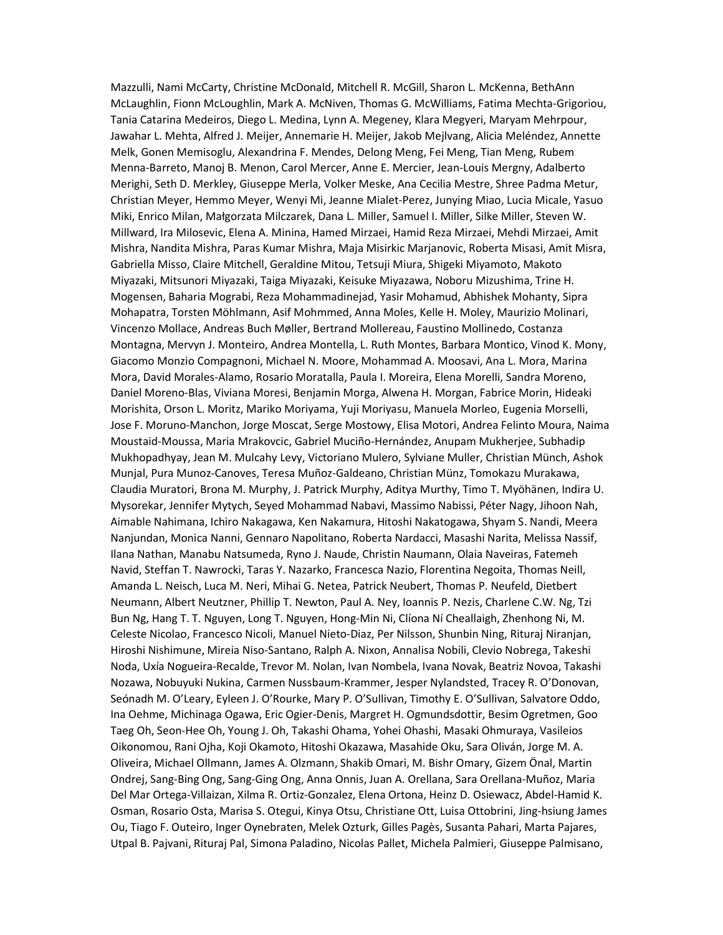Mazzulli, Nami McCarty, Christine McDonald, Mitchell R. McGill, Sharon L. McKenna, BethAnn McLaughlin, Fionn McLoughlin, Mark A. McNiven, Thomas G. McWilliams, Fatima Mechta-Grigoriou, Tania Catarina Medeiros, Diego L. Medina, Lynn A. Megeney, Klara Megyeri, Maryam Mehrpour, Jawahar L. Mehta, Alfred J. Meijer, Annemarie H. Meijer, Jakob Mejlvang, Alicia Meléndez, Annette Melk, Gonen Memisoglu, Alexandrina F. Mendes, Delong Meng, Fei Meng, Tian Meng, Rubem Menna-Barreto, Manoj B. Menon, Carol Mercer, Anne E. Mercier, Jean-Louis Mergny, Adalberto Merighi, Seth D. Merkley, Giuseppe Merla, Volker Meske, Ana Cecilia Mestre, Shree Padma Metur, Christian Meyer, Hemmo Meyer, Wenyi Mi, Jeanne Mialet-Perez, Junying Miao, Lucia Micale, Yasuo Miki, Enrico Milan, Małgorzata Milczarek, Dana L. Miller, Samuel I. Miller, Silke Miller, Steven W. Millward, Ira Milosevic, Elena A. Minina, Hamed Mirzaei, Hamid Reza Mirzaei, Mehdi Mirzaei, Amit Mishra, Nandita Mishra, Paras Kumar Mishra, Maja Misirkic Marjanovic, Roberta Misasi, Amit Misra, Gabriella Misso, Claire Mitchell, Geraldine Mitou, Tetsuji Miura, Shigeki Miyamoto, Makoto Miyazaki, Mitsunori Miyazaki, Taiga Miyazaki, Keisuke Miyazawa, Noboru Mizushima, Trine H. Mogensen, Baharia Mograbi, Reza Mohammadinejad, Yasir Mohamud, Abhishek Mohanty, Sipra Mohapatra, Torsten Möhlmann, Asif Mohmmed, Anna Moles, Kelle H. Moley, Maurizio Molinari, Vincenzo Mollace, Andreas Buch Møller, Bertrand Mollereau, Faustino Mollinedo, Costanza Montagna, Mervyn J. Monteiro, Andrea Montella, L. Ruth Montes, Barbara Montico, Vinod K. Mony, Giacomo Monzio Compagnoni, Michael N. Moore, Mohammad A. Moosavi, Ana L. Mora, Marina Mora, David Morales-Alamo, Rosario Moratalla, Paula I. Moreira, Elena Morelli, Sandra Moreno, Daniel Moreno-Blas, Viviana Moresi, Benjamin Morga, Alwena H. Morgan, Fabrice Morin, Hideaki Morishita, Orson L. Moritz, Mariko Moriyama, Yuji Moriyasu, Manuela Morleo, Eugenia Morselli, Jose F. Moruno-Manchon, Jorge Moscat, Serge Mostowy, Elisa Motori, Andrea Felinto Moura, Naima Moustaid-Moussa, Maria Mrakovcic, Gabriel Muciño-Hernández, Anupam Mukherjee, Subhadip Mukhopadhyay, Jean M. Mulcahy Levy, Victoriano Mulero, Sylviane Muller, Christian Münch, Ashok Munjal, Pura Munoz-Canoves, Teresa Muñoz-Galdeano, Christian Münz, Tomokazu Murakawa, Claudia Muratori, Brona M. Murphy, J. Patrick Murphy, Aditya Murthy, Timo T. Myöhänen, Indira U. Mysorekar, Jennifer Mytych, Seyed Mohammad Nabavi, Massimo Nabissi, Péter Nagy, Jihoon Nah, Aimable Nahimana, Ichiro Nakagawa, Ken Nakamura, Hitoshi Nakatogawa, Shyam S. Nandi, Meera Nanjundan, Monica Nanni, Gennaro Napolitano, Roberta Nardacci, Masashi Narita, Melissa Nassif, Ilana Nathan, Manabu Natsumeda, Ryno J. Naude, Christin Naumann, Olaia Naveiras, Fatemeh Navid, Steffan T. Nawrocki, Taras Y. Nazarko, Francesca Nazio, Florentina Negoita, Thomas Neill, Amanda L. Neisch, Luca M. Neri, Mihai G. Netea, Patrick Neubert, Thomas P. Neufeld, Dietbert Neumann, Albert Neutzner, Phillip T. Newton, Paul A. Ney, Ioannis P. Nezis, Charlene C.W. Ng, Tzi Bun Ng, Hang T. T. Nguyen, Long T. Nguyen, Hong-Min Ni, Clíona Ní Cheallaigh, Zhenhong Ni, M. Celeste Nicolao, Francesco Nicoli, Manuel Nieto-Diaz, Per Nilsson, Shunbin Ning, Rituraj Niranjan, Hiroshi Nishimune, Mireia Niso-Santano, Ralph A. Nixon, Annalisa Nobili, Clevio Nobrega, Takeshi Noda, Uxía Nogueira-Recalde, Trevor M. Nolan, Ivan Nombela, Ivana Novak, Beatriz Novoa, Takashi Nozawa, Nobuyuki Nukina, Carmen Nussbaum-Krammer, Jesper Nylandsted, Tracey R. O'Donovan, Seónadh M. O'Leary, Eyleen J. O'Rourke, Mary P. O'Sullivan, Timothy E. O'Sullivan, Salvatore Oddo, Ina Oehme, Michinaga Ogawa, Eric Ogier-Denis, Margret H. Ogmundsdottir, Besim Ogretmen, Goo Taeg Oh, Seon-Hee Oh, Young J. Oh, Takashi Ohama, Yohei Ohashi, Masaki Ohmuraya, Vasileios Oikonomou, Rani Ojha, Koji Okamoto, Hitoshi Okazawa, Masahide Oku, Sara Oliván, Jorge M. A. Oliveira, Michael Ollmann, James A. Olzmann, Shakib Omari, M. Bishr Omary, Gizem Önal, Martin Ondrej, Sang-Bing Ong, Sang-Ging Ong, Anna Onnis, Juan A. Orellana, Sara Orellana-Muñoz, Maria Del Mar Ortega-Villaizan, Xilma R. Ortiz-Gonzalez, Elena Ortona, Heinz D. Osiewacz, Abdel-Hamid K. Osman, Rosario Osta, Marisa S. Otegui, Kinya Otsu, Christiane Ott, Luisa Ottobrini, Jing-hsiung James Ou, Tiago F. Outeiro, Inger Oynebraten, Melek Ozturk, Gilles Pagès, Susanta Pahari, Marta Pajares, Utpal B. Pajvani, Rituraj Pal, Simona Paladino, Nicolas Pallet, Michela Palmieri, Giuseppe Palmisano,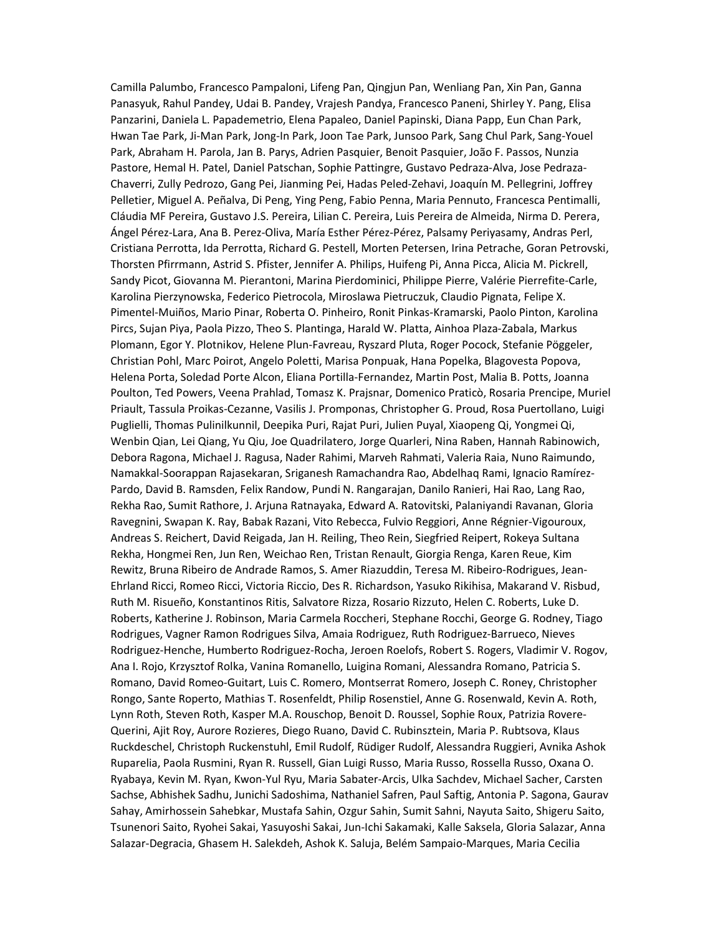Camilla Palumbo, Francesco Pampaloni, Lifeng Pan, Qingjun Pan, Wenliang Pan, Xin Pan, Ganna Panasyuk, Rahul Pandey, Udai B. Pandey, Vrajesh Pandya, Francesco Paneni, Shirley Y. Pang, Elisa Panzarini, Daniela L. Papademetrio, Elena Papaleo, Daniel Papinski, Diana Papp, Eun Chan Park, Hwan Tae Park, Ji-Man Park, Jong-In Park, Joon Tae Park, Junsoo Park, Sang Chul Park, Sang-Youel Park, Abraham H. Parola, Jan B. Parys, Adrien Pasquier, Benoit Pasquier, João F. Passos, Nunzia Pastore, Hemal H. Patel, Daniel Patschan, Sophie Pattingre, Gustavo Pedraza-Alva, Jose Pedraza-Chaverri, Zully Pedrozo, Gang Pei, Jianming Pei, Hadas Peled-Zehavi, Joaquín M. Pellegrini, Joffrey Pelletier, Miguel A. Peñalva, Di Peng, Ying Peng, Fabio Penna, Maria Pennuto, Francesca Pentimalli, Cláudia MF Pereira, Gustavo J.S. Pereira, Lilian C. Pereira, Luis Pereira de Almeida, Nirma D. Perera, Ángel Pérez-Lara, Ana B. Perez-Oliva, María Esther Pérez-Pérez, Palsamy Periyasamy, Andras Perl, Cristiana Perrotta, Ida Perrotta, Richard G. Pestell, Morten Petersen, Irina Petrache, Goran Petrovski, Thorsten Pfirrmann, Astrid S. Pfister, Jennifer A. Philips, Huifeng Pi, Anna Picca, Alicia M. Pickrell, Sandy Picot, Giovanna M. Pierantoni, Marina Pierdominici, Philippe Pierre, Valérie Pierrefite-Carle, Karolina Pierzynowska, Federico Pietrocola, Miroslawa Pietruczuk, Claudio Pignata, Felipe X. Pimentel-Muiños, Mario Pinar, Roberta O. Pinheiro, Ronit Pinkas-Kramarski, Paolo Pinton, Karolina Pircs, Sujan Piya, Paola Pizzo, Theo S. Plantinga, Harald W. Platta, Ainhoa Plaza-Zabala, Markus Plomann, Egor Y. Plotnikov, Helene Plun-Favreau, Ryszard Pluta, Roger Pocock, Stefanie Pöggeler, Christian Pohl, Marc Poirot, Angelo Poletti, Marisa Ponpuak, Hana Popelka, Blagovesta Popova, Helena Porta, Soledad Porte Alcon, Eliana Portilla-Fernandez, Martin Post, Malia B. Potts, Joanna Poulton, Ted Powers, Veena Prahlad, Tomasz K. Prajsnar, Domenico Praticò, Rosaria Prencipe, Muriel Priault, Tassula Proikas-Cezanne, Vasilis J. Promponas, Christopher G. Proud, Rosa Puertollano, Luigi Puglielli, Thomas Pulinilkunnil, Deepika Puri, Rajat Puri, Julien Puyal, Xiaopeng Qi, Yongmei Qi, Wenbin Qian, Lei Qiang, Yu Qiu, Joe Quadrilatero, Jorge Quarleri, Nina Raben, Hannah Rabinowich, Debora Ragona, Michael J. Ragusa, Nader Rahimi, Marveh Rahmati, Valeria Raia, Nuno Raimundo, Namakkal-Soorappan Rajasekaran, Sriganesh Ramachandra Rao, Abdelhaq Rami, Ignacio Ramírez-Pardo, David B. Ramsden, Felix Randow, Pundi N. Rangarajan, Danilo Ranieri, Hai Rao, Lang Rao, Rekha Rao, Sumit Rathore, J. Arjuna Ratnayaka, Edward A. Ratovitski, Palaniyandi Ravanan, Gloria Ravegnini, Swapan K. Ray, Babak Razani, Vito Rebecca, Fulvio Reggiori, Anne Régnier-Vigouroux, Andreas S. Reichert, David Reigada, Jan H. Reiling, Theo Rein, Siegfried Reipert, Rokeya Sultana Rekha, Hongmei Ren, Jun Ren, Weichao Ren, Tristan Renault, Giorgia Renga, Karen Reue, Kim Rewitz, Bruna Ribeiro de Andrade Ramos, S. Amer Riazuddin, Teresa M. Ribeiro-Rodrigues, Jean-Ehrland Ricci, Romeo Ricci, Victoria Riccio, Des R. Richardson, Yasuko Rikihisa, Makarand V. Risbud, Ruth M. Risueño, Konstantinos Ritis, Salvatore Rizza, Rosario Rizzuto, Helen C. Roberts, Luke D. Roberts, Katherine J. Robinson, Maria Carmela Roccheri, Stephane Rocchi, George G. Rodney, Tiago Rodrigues, Vagner Ramon Rodrigues Silva, Amaia Rodriguez, Ruth Rodriguez-Barrueco, Nieves Rodriguez-Henche, Humberto Rodriguez-Rocha, Jeroen Roelofs, Robert S. Rogers, Vladimir V. Rogov, Ana I. Rojo, Krzysztof Rolka, Vanina Romanello, Luigina Romani, Alessandra Romano, Patricia S. Romano, David Romeo-Guitart, Luis C. Romero, Montserrat Romero, Joseph C. Roney, Christopher Rongo, Sante Roperto, Mathias T. Rosenfeldt, Philip Rosenstiel, Anne G. Rosenwald, Kevin A. Roth, Lynn Roth, Steven Roth, Kasper M.A. Rouschop, Benoit D. Roussel, Sophie Roux, Patrizia Rovere-Querini, Ajit Roy, Aurore Rozieres, Diego Ruano, David C. Rubinsztein, Maria P. Rubtsova, Klaus Ruckdeschel, Christoph Ruckenstuhl, Emil Rudolf, Rüdiger Rudolf, Alessandra Ruggieri, Avnika Ashok Ruparelia, Paola Rusmini, Ryan R. Russell, Gian Luigi Russo, Maria Russo, Rossella Russo, Oxana O. Ryabaya, Kevin M. Ryan, Kwon-Yul Ryu, Maria Sabater-Arcis, Ulka Sachdev, Michael Sacher, Carsten Sachse, Abhishek Sadhu, Junichi Sadoshima, Nathaniel Safren, Paul Saftig, Antonia P. Sagona, Gaurav Sahay, Amirhossein Sahebkar, Mustafa Sahin, Ozgur Sahin, Sumit Sahni, Nayuta Saito, Shigeru Saito, Tsunenori Saito, Ryohei Sakai, Yasuyoshi Sakai, Jun-Ichi Sakamaki, Kalle Saksela, Gloria Salazar, Anna Salazar-Degracia, Ghasem H. Salekdeh, Ashok K. Saluja, Belém Sampaio-Marques, Maria Cecilia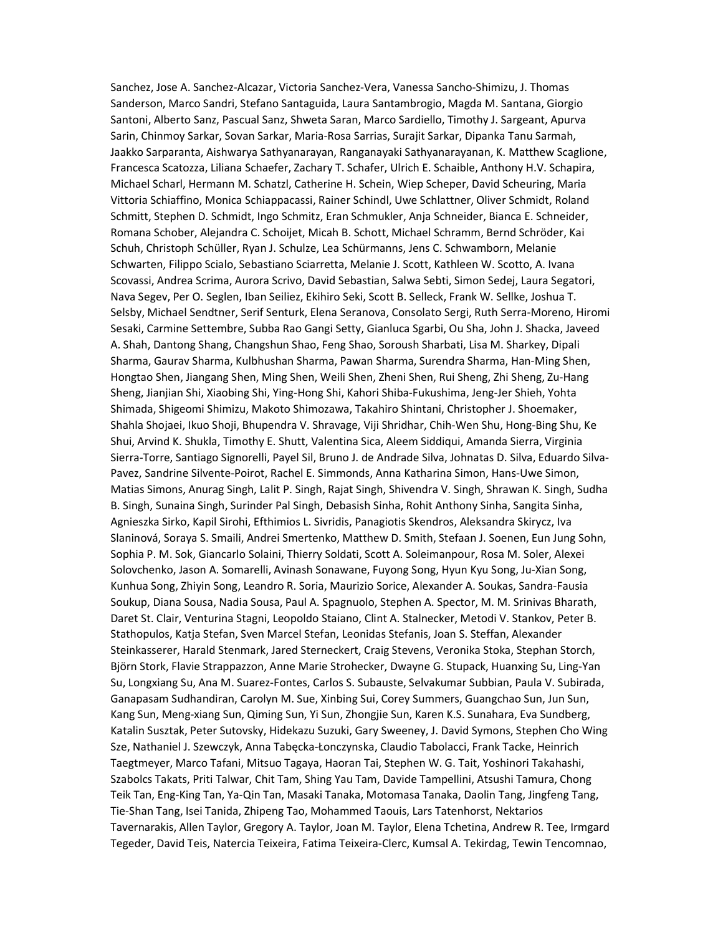Sanchez, Jose A. Sanchez-Alcazar, Victoria Sanchez-Vera, Vanessa Sancho-Shimizu, J. Thomas Sanderson, Marco Sandri, Stefano Santaguida, Laura Santambrogio, Magda M. Santana, Giorgio Santoni, Alberto Sanz, Pascual Sanz, Shweta Saran, Marco Sardiello, Timothy J. Sargeant, Apurva Sarin, Chinmoy Sarkar, Sovan Sarkar, Maria-Rosa Sarrias, Surajit Sarkar, Dipanka Tanu Sarmah, Jaakko Sarparanta, Aishwarya Sathyanarayan, Ranganayaki Sathyanarayanan, K. Matthew Scaglione, Francesca Scatozza, Liliana Schaefer, Zachary T. Schafer, Ulrich E. Schaible, Anthony H.V. Schapira, Michael Scharl, Hermann M. Schatzl, Catherine H. Schein, Wiep Scheper, David Scheuring, Maria Vittoria Schiaffino, Monica Schiappacassi, Rainer Schindl, Uwe Schlattner, Oliver Schmidt, Roland Schmitt, Stephen D. Schmidt, Ingo Schmitz, Eran Schmukler, Anja Schneider, Bianca E. Schneider, Romana Schober, Alejandra C. Schoijet, Micah B. Schott, Michael Schramm, Bernd Schröder, Kai Schuh, Christoph Schüller, Ryan J. Schulze, Lea Schürmanns, Jens C. Schwamborn, Melanie Schwarten, Filippo Scialo, Sebastiano Sciarretta, Melanie J. Scott, Kathleen W. Scotto, A. Ivana Scovassi, Andrea Scrima, Aurora Scrivo, David Sebastian, Salwa Sebti, Simon Sedej, Laura Segatori, Nava Segev, Per O. Seglen, Iban Seiliez, Ekihiro Seki, Scott B. Selleck, Frank W. Sellke, Joshua T. Selsby, Michael Sendtner, Serif Senturk, Elena Seranova, Consolato Sergi, Ruth Serra-Moreno, Hiromi Sesaki, Carmine Settembre, Subba Rao Gangi Setty, Gianluca Sgarbi, Ou Sha, John J. Shacka, Javeed A. Shah, Dantong Shang, Changshun Shao, Feng Shao, Soroush Sharbati, Lisa M. Sharkey, Dipali Sharma, Gaurav Sharma, Kulbhushan Sharma, Pawan Sharma, Surendra Sharma, Han-Ming Shen, Hongtao Shen, Jiangang Shen, Ming Shen, Weili Shen, Zheni Shen, Rui Sheng, Zhi Sheng, Zu-Hang Sheng, Jianjian Shi, Xiaobing Shi, Ying-Hong Shi, Kahori Shiba-Fukushima, Jeng-Jer Shieh, Yohta Shimada, Shigeomi Shimizu, Makoto Shimozawa, Takahiro Shintani, Christopher J. Shoemaker, Shahla Shojaei, Ikuo Shoji, Bhupendra V. Shravage, Viji Shridhar, Chih-Wen Shu, Hong-Bing Shu, Ke Shui, Arvind K. Shukla, Timothy E. Shutt, Valentina Sica, Aleem Siddiqui, Amanda Sierra, Virginia Sierra-Torre, Santiago Signorelli, Payel Sil, Bruno J. de Andrade Silva, Johnatas D. Silva, Eduardo Silva-Pavez, Sandrine Silvente-Poirot, Rachel E. Simmonds, Anna Katharina Simon, Hans-Uwe Simon, Matias Simons, Anurag Singh, Lalit P. Singh, Rajat Singh, Shivendra V. Singh, Shrawan K. Singh, Sudha B. Singh, Sunaina Singh, Surinder Pal Singh, Debasish Sinha, Rohit Anthony Sinha, Sangita Sinha, Agnieszka Sirko, Kapil Sirohi, Efthimios L. Sivridis, Panagiotis Skendros, Aleksandra Skirycz, Iva Slaninová, Soraya S. Smaili, Andrei Smertenko, Matthew D. Smith, Stefaan J. Soenen, Eun Jung Sohn, Sophia P. M. Sok, Giancarlo Solaini, Thierry Soldati, Scott A. Soleimanpour, Rosa M. Soler, Alexei Solovchenko, Jason A. Somarelli, Avinash Sonawane, Fuyong Song, Hyun Kyu Song, Ju-Xian Song, Kunhua Song, Zhiyin Song, Leandro R. Soria, Maurizio Sorice, Alexander A. Soukas, Sandra-Fausia Soukup, Diana Sousa, Nadia Sousa, Paul A. Spagnuolo, Stephen A. Spector, M. M. Srinivas Bharath, Daret St. Clair, Venturina Stagni, Leopoldo Staiano, Clint A. Stalnecker, Metodi V. Stankov, Peter B. Stathopulos, Katja Stefan, Sven Marcel Stefan, Leonidas Stefanis, Joan S. Steffan, Alexander Steinkasserer, Harald Stenmark, Jared Sterneckert, Craig Stevens, Veronika Stoka, Stephan Storch, Björn Stork, Flavie Strappazzon, Anne Marie Strohecker, Dwayne G. Stupack, Huanxing Su, Ling-Yan Su, Longxiang Su, Ana M. Suarez-Fontes, Carlos S. Subauste, Selvakumar Subbian, Paula V. Subirada, Ganapasam Sudhandiran, Carolyn M. Sue, Xinbing Sui, Corey Summers, Guangchao Sun, Jun Sun, Kang Sun, Meng-xiang Sun, Qiming Sun, Yi Sun, Zhongjie Sun, Karen K.S. Sunahara, Eva Sundberg, Katalin Susztak, Peter Sutovsky, Hidekazu Suzuki, Gary Sweeney, J. David Symons, Stephen Cho Wing Sze, Nathaniel J. Szewczyk, Anna Tabęcka-Łonczynska, Claudio Tabolacci, Frank Tacke, Heinrich Taegtmeyer, Marco Tafani, Mitsuo Tagaya, Haoran Tai, Stephen W. G. Tait, Yoshinori Takahashi, Szabolcs Takats, Priti Talwar, Chit Tam, Shing Yau Tam, Davide Tampellini, Atsushi Tamura, Chong Teik Tan, Eng-King Tan, Ya-Qin Tan, Masaki Tanaka, Motomasa Tanaka, Daolin Tang, Jingfeng Tang, Tie-Shan Tang, Isei Tanida, Zhipeng Tao, Mohammed Taouis, Lars Tatenhorst, Nektarios Tavernarakis, Allen Taylor, Gregory A. Taylor, Joan M. Taylor, Elena Tchetina, Andrew R. Tee, Irmgard Tegeder, David Teis, Natercia Teixeira, Fatima Teixeira-Clerc, Kumsal A. Tekirdag, Tewin Tencomnao,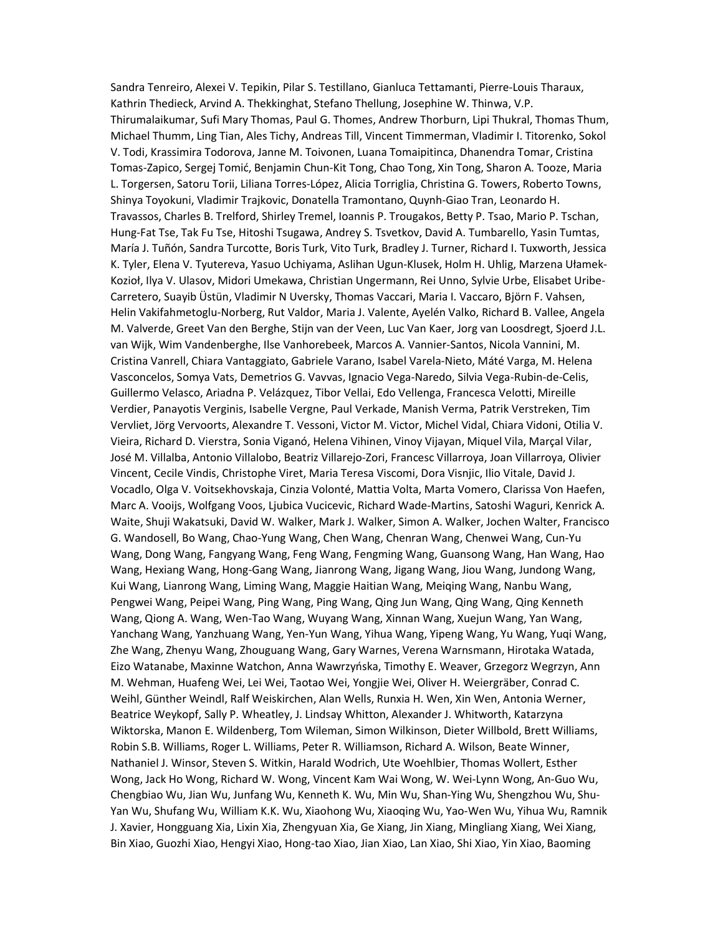Sandra Tenreiro, Alexei V. Tepikin, Pilar S. Testillano, Gianluca Tettamanti, Pierre-Louis Tharaux, Kathrin Thedieck, Arvind A. Thekkinghat, Stefano Thellung, Josephine W. Thinwa, V.P. Thirumalaikumar, Sufi Mary Thomas, Paul G. Thomes, Andrew Thorburn, Lipi Thukral, Thomas Thum, Michael Thumm, Ling Tian, Ales Tichy, Andreas Till, Vincent Timmerman, Vladimir I. Titorenko, Sokol V. Todi, Krassimira Todorova, Janne M. Toivonen, Luana Tomaipitinca, Dhanendra Tomar, Cristina Tomas-Zapico, Sergej Tomić, Benjamin Chun-Kit Tong, Chao Tong, Xin Tong, Sharon A. Tooze, Maria L. Torgersen, Satoru Torii, Liliana Torres-López, Alicia Torriglia, Christina G. Towers, Roberto Towns, Shinya Toyokuni, Vladimir Trajkovic, Donatella Tramontano, Quynh-Giao Tran, Leonardo H. Travassos, Charles B. Trelford, Shirley Tremel, Ioannis P. Trougakos, Betty P. Tsao, Mario P. Tschan, Hung-Fat Tse, Tak Fu Tse, Hitoshi Tsugawa, Andrey S. Tsvetkov, David A. Tumbarello, Yasin Tumtas, María J. Tuñón, Sandra Turcotte, Boris Turk, Vito Turk, Bradley J. Turner, Richard I. Tuxworth, Jessica K. Tyler, Elena V. Tyutereva, Yasuo Uchiyama, Aslihan Ugun-Klusek, Holm H. Uhlig, Marzena Ułamek-Kozioł, Ilya V. Ulasov, Midori Umekawa, Christian Ungermann, Rei Unno, Sylvie Urbe, Elisabet Uribe-Carretero, Suayib Üstün, Vladimir N Uversky, Thomas Vaccari, Maria I. Vaccaro, Björn F. Vahsen, Helin Vakifahmetoglu-Norberg, Rut Valdor, Maria J. Valente, Ayelén Valko, Richard B. Vallee, Angela M. Valverde, Greet Van den Berghe, Stijn van der Veen, Luc Van Kaer, Jorg van Loosdregt, Sjoerd J.L. van Wijk, Wim Vandenberghe, Ilse Vanhorebeek, Marcos A. Vannier-Santos, Nicola Vannini, M. Cristina Vanrell, Chiara Vantaggiato, Gabriele Varano, Isabel Varela-Nieto, Máté Varga, M. Helena Vasconcelos, Somya Vats, Demetrios G. Vavvas, Ignacio Vega-Naredo, Silvia Vega-Rubin-de-Celis, Guillermo Velasco, Ariadna P. Velázquez, Tibor Vellai, Edo Vellenga, Francesca Velotti, Mireille Verdier, Panayotis Verginis, Isabelle Vergne, Paul Verkade, Manish Verma, Patrik Verstreken, Tim Vervliet, Jörg Vervoorts, Alexandre T. Vessoni, Victor M. Victor, Michel Vidal, Chiara Vidoni, Otilia V. Vieira, Richard D. Vierstra, Sonia Viganó, Helena Vihinen, Vinoy Vijayan, Miquel Vila, Marçal Vilar, José M. Villalba, Antonio Villalobo, Beatriz Villarejo-Zori, Francesc Villarroya, Joan Villarroya, Olivier Vincent, Cecile Vindis, Christophe Viret, Maria Teresa Viscomi, Dora Visnjic, Ilio Vitale, David J. Vocadlo, Olga V. Voitsekhovskaja, Cinzia Volonté, Mattia Volta, Marta Vomero, Clarissa Von Haefen, Marc A. Vooijs, Wolfgang Voos, Ljubica Vucicevic, Richard Wade-Martins, Satoshi Waguri, Kenrick A. Waite, Shuji Wakatsuki, David W. Walker, Mark J. Walker, Simon A. Walker, Jochen Walter, Francisco G. Wandosell, Bo Wang, Chao-Yung Wang, Chen Wang, Chenran Wang, Chenwei Wang, Cun-Yu Wang, Dong Wang, Fangyang Wang, Feng Wang, Fengming Wang, Guansong Wang, Han Wang, Hao Wang, Hexiang Wang, Hong-Gang Wang, Jianrong Wang, Jigang Wang, Jiou Wang, Jundong Wang, Kui Wang, Lianrong Wang, Liming Wang, Maggie Haitian Wang, Meiqing Wang, Nanbu Wang, Pengwei Wang, Peipei Wang, Ping Wang, Ping Wang, Qing Jun Wang, Qing Wang, Qing Kenneth Wang, Qiong A. Wang, Wen-Tao Wang, Wuyang Wang, Xinnan Wang, Xuejun Wang, Yan Wang, Yanchang Wang, Yanzhuang Wang, Yen-Yun Wang, Yihua Wang, Yipeng Wang, Yu Wang, Yuqi Wang, Zhe Wang, Zhenyu Wang, Zhouguang Wang, Gary Warnes, Verena Warnsmann, Hirotaka Watada, Eizo Watanabe, Maxinne Watchon, Anna Wawrzyńska, Timothy E. Weaver, Grzegorz Wegrzyn, Ann M. Wehman, Huafeng Wei, Lei Wei, Taotao Wei, Yongjie Wei, Oliver H. Weiergräber, Conrad C. Weihl, Günther Weindl, Ralf Weiskirchen, Alan Wells, Runxia H. Wen, Xin Wen, Antonia Werner, Beatrice Weykopf, Sally P. Wheatley, J. Lindsay Whitton, Alexander J. Whitworth, Katarzyna Wiktorska, Manon E. Wildenberg, Tom Wileman, Simon Wilkinson, Dieter Willbold, Brett Williams, Robin S.B. Williams, Roger L. Williams, Peter R. Williamson, Richard A. Wilson, Beate Winner, Nathaniel J. Winsor, Steven S. Witkin, Harald Wodrich, Ute Woehlbier, Thomas Wollert, Esther Wong, Jack Ho Wong, Richard W. Wong, Vincent Kam Wai Wong, W. Wei-Lynn Wong, An-Guo Wu, Chengbiao Wu, Jian Wu, Junfang Wu, Kenneth K. Wu, Min Wu, Shan-Ying Wu, Shengzhou Wu, Shu-Yan Wu, Shufang Wu, William K.K. Wu, Xiaohong Wu, Xiaoqing Wu, Yao-Wen Wu, Yihua Wu, Ramnik J. Xavier, Hongguang Xia, Lixin Xia, Zhengyuan Xia, Ge Xiang, Jin Xiang, Mingliang Xiang, Wei Xiang, Bin Xiao, Guozhi Xiao, Hengyi Xiao, Hong-tao Xiao, Jian Xiao, Lan Xiao, Shi Xiao, Yin Xiao, Baoming